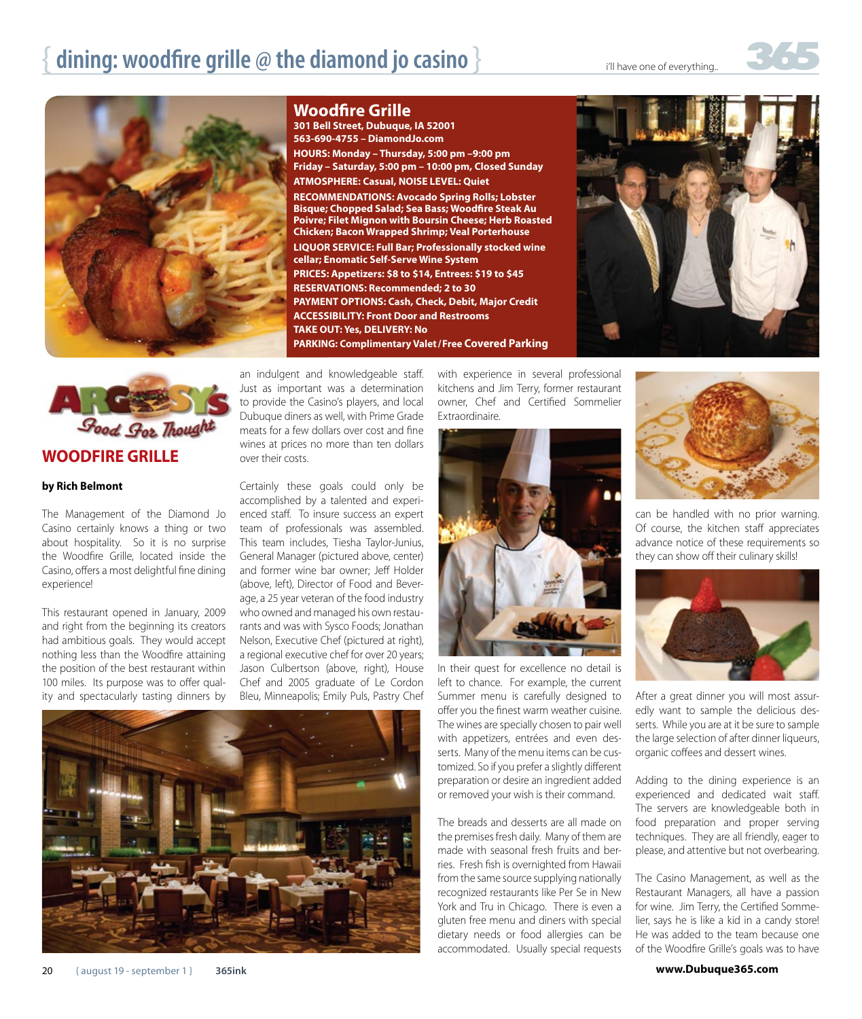

**Woodfire Grille**

**301 Bell Street, Dubuque, IA 52001 563-690-4755 – DiamondJo.com HOURS: Monday – Thursday, 5:00 pm –9:00 pm Friday – Saturday, 5:00 pm – 10:00 pm, Closed Sunday ATMOSPHERE: Casual, NOISE LEVEL: Quiet RECOMMENDATIONS: Avocado Spring Rolls; Lobster Bisque; Chopped Salad; Sea Bass; Woodfire Steak Au Poivre; Filet Mignon with Boursin Cheese; Herb Roasted Chicken; Bacon Wrapped Shrimp; Veal Porterhouse LIQUOR SERVICE: Full Bar; Professionally stocked wine cellar; Enomatic Self-Serve Wine System PRICES: Appetizers: \$8 to \$14, Entrees: \$19 to \$45 RESERVATIONS: Recommended; 2 to 30 PAYMENT OPTIONS: Cash, Check, Debit, Major Credit ACCESSIBILITY: Front Door and Restrooms TAKE OUT: Yes, DELIVERY: No PARKING: Complimentary Valet /Free Covered Parking**





## **by Rich Belmont**

The Management of the Diamond Jo Casino certainly knows a thing or two about hospitality. So it is no surprise the Woodfire Grille, located inside the Casino, offers a most delightful fine dining experience!

This restaurant opened in January, 2009 and right from the beginning its creators had ambitious goals. They would accept nothing less than the Woodfire attaining the position of the best restaurant within 100 miles. Its purpose was to offer quality and spectacularly tasting dinners by an indulgent and knowledgeable staff. Just as important was a determination to provide the Casino's players, and local Dubuque diners as well, with Prime Grade meats for a few dollars over cost and fine wines at prices no more than ten dollars over their costs.

Certainly these goals could only be accomplished by a talented and experienced staff. To insure success an expert team of professionals was assembled. This team includes, Tiesha Taylor-Junius, General Manager (pictured above, center) and former wine bar owner; Jeff Holder (above, left), Director of Food and Beverage, a 25 year veteran of the food industry who owned and managed his own restaurants and was with Sysco Foods; Jonathan Nelson, Executive Chef (pictured at right), a regional executive chef for over 20 years; Jason Culbertson (above, right), House Chef and 2005 graduate of Le Cordon Bleu, Minneapolis; Emily Puls, Pastry Chef



with experience in several professional kitchens and Jim Terry, former restaurant owner, Chef and Certified Sommelier Extraordinaire.



In their quest for excellence no detail is left to chance. For example, the current Summer menu is carefully designed to offer you the finest warm weather cuisine. The wines are specially chosen to pair well with appetizers, entrées and even desserts. Many of the menu items can be customized. So if you prefer a slightly different preparation or desire an ingredient added or removed your wish is their command.

The breads and desserts are all made on the premises fresh daily. Many of them are made with seasonal fresh fruits and berries. Fresh fish is overnighted from Hawaii from the same source supplying nationally recognized restaurants like Per Se in New York and Tru in Chicago. There is even a gluten free menu and diners with special dietary needs or food allergies can be accommodated. Usually special requests



can be handled with no prior warning. Of course, the kitchen staff appreciates advance notice of these requirements so they can show off their culinary skills!



After a great dinner you will most assuredly want to sample the delicious desserts. While you are at it be sure to sample the large selection of after dinner liqueurs, organic coffees and dessert wines.

Adding to the dining experience is an experienced and dedicated wait staff. The servers are knowledgeable both in food preparation and proper serving techniques. They are all friendly, eager to please, and attentive but not overbearing.

The Casino Management, as well as the Restaurant Managers, all have a passion for wine. Jim Terry, the Certified Sommelier, says he is like a kid in a candy store! He was added to the team because one of the Woodfire Grille's goals was to have